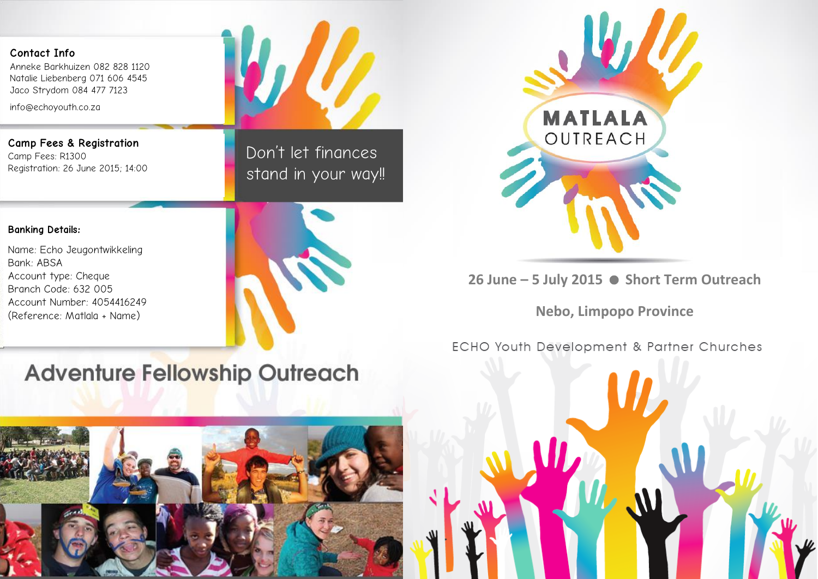## **Contact Info**

Anneke Barkhuizen 082 828 1120 Natalie Liebenberg 071 606 4545 Jaco Strydom 084 477 7123

info@echoyouth.co.za

**Camp Fees & Registration**  Camp Fees: R1300 Registration: 26 June 2015; 14:00

Don't let finances stand in your way!!

#### **Banking Details:**

Name: Echo Jeugontwikkeling Bank: ABSA Account type: Cheque Branch Code: 632 005 Account Number: 4054416249 (Reference: Matlala + Name)





**26 June – 5 July 2015 Short Term Outreach**

**Nebo, Limpopo Province**

**ECHO Youth Development & Partner Churches** 

# **Adventure Fellowship Outreach**



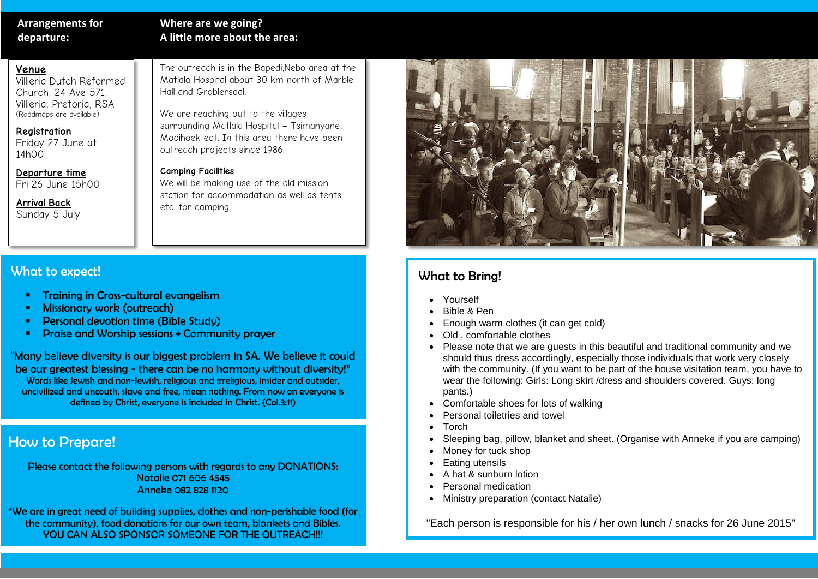## **Arrangements for departure:**

## **Where are we going? A little more about the area:**

## **Venue**

Villieria Dutch Reformed Church, 24 Ave 571, Villieria, Pretoria, RSA (Roadmaps are available)

#### **Registration**

Friday 27 June at 14h00

**Departure time** Fri 26 June 15h00

**Arrival Back** Sunday 5 July The outreach is in the Bapedi,Nebo area at the Matlala Hospital about 30 km north of Marble Hall and Groblersdal.

We are reaching out to the villages surrounding Matlala Hospital – Tsimanyane, Mooihoek ect. In this area there have been outreach projects since 1986.

### **Camping Facilities**

We will be making use of the old mission station for accommodation as well as tents etc. for camping.

## What to expect!

- Training in Cross-cultural evangelism
- Missionary work (outreach)
- Personal devotion time (Bible Study)
- Praise and Worship sessions + Community prayer

"Many believe diversity is our biggest problem in SA. We believe it could be our greatest blessing - there can be no harmony without diversity!" Words like Jewish and non-Jewish, religious and irreligious, insider and outsider, uncivilized and uncouth, slave and free, mean nothing. From now on everyone is defined by Christ, everyone is included in Christ. (Col.3:11)

## How to Prepare!

Please contact the following persons with regards to any DONATIONS: Natalie 071 606 4545 Anneke 082 828 1120

\*We are in great need of building supplies, clothes and non-perishable food (for the community), food donations for our own team, blankets and Bibles. YOU CAN ALSO SPONSOR SOMEONE FOR THE OUTREACH!!!



## What to Bring!

- Yourself
- Bible & Pen
- Enough warm clothes (it can get cold)
- Old , comfortable clothes
- Please note that we are guests in this beautiful and traditional community and we should thus dress accordingly, especially those individuals that work very closely with the community. (If you want to be part of the house visitation team, you have to wear the following: Girls: Long skirt /dress and shoulders covered. Guys: long pants.)
- Comfortable shoes for lots of walking
- Personal toiletries and towel
- Torch
- Sleeping bag, pillow, blanket and sheet. (Organise with Anneke if you are camping)
- Money for tuck shop
- Eating utensils
- A hat & sunburn lotion
- Personal medication
- Ministry preparation (contact Natalie)

"Each person is responsible for his / her own lunch / snacks for 26 June 2015"